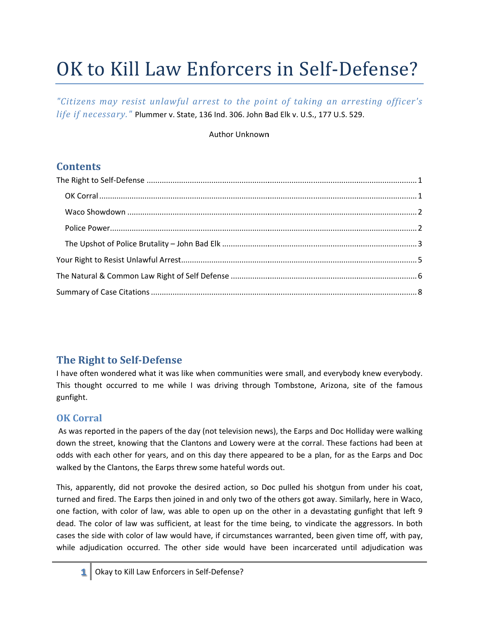# OK to Kill Law Enforcers in Self-Defense?

"Citizens may resist unlawful arrest to the point of taking an arresting officer's life if necessary." Plummer v. State, 136 Ind. 306. John Bad Elk v. U.S., 177 U.S. 529.

#### Author Unknown

## **Contents**

## The Right to Self-Defense

I have often wondered what it was like when communities were small, and everybody knew everybody. This thought occurred to me while I was driving through Tombstone, Arizona, site of the famous gunfight.

#### **OK Corral**

As was reported in the papers of the day (not television news), the Earps and Doc Holliday were walking down the street, knowing that the Clantons and Lowery were at the corral. These factions had been at odds with each other for years, and on this day there appeared to be a plan, for as the Earps and Doc walked by the Clantons, the Earps threw some hateful words out.

This, apparently, did not provoke the desired action, so Doc pulled his shotgun from under his coat, turned and fired. The Earps then joined in and only two of the others got away. Similarly, here in Waco, one faction, with color of law, was able to open up on the other in a devastating gunfight that left 9 dead. The color of law was sufficient, at least for the time being, to vindicate the aggressors. In both cases the side with color of law would have, if circumstances warranted, been given time off, with pay, while adjudication occurred. The other side would have been incarcerated until adjudication was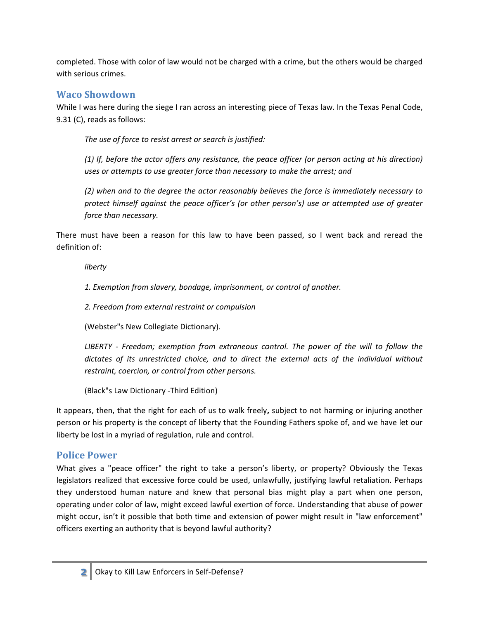completed. Those with color of law would not be charged with a crime, but the others would be charged with serious crimes.

#### **Waco Showdown**

While I was here during the siege I ran across an interesting piece of Texas law. In the Texas Penal Code, 9.31 (C), reads as follows:

The use of force to resist arrest or search is justified:

 $(1)$  If, before the actor offers any resistance, the peace officer (or person acting at his direction) uses or attempts to use greater force than necessary to make the arrest; and

(2) when and to the degree the actor reasonably believes the force is immediately necessary to protect himself against the peace officer's (or other person's) use or attempted use of greater force than necessary.

There must have been a reason for this law to have been passed, so I went back and reread the definition of:

liberty

1. Exemption from slavery, bondage, imprisonment, or control of another.

2. Freedom from external restraint or compulsion

(Webster"s New Collegiate Dictionary).

LIBERTY - Freedom; exemption from extraneous control. The power of the will to follow the dictates of its unrestricted choice, and to direct the external acts of the individual without restraint, coercion, or control from other persons.

(Black"s Law Dictionary -Third Edition)

It appears, then, that the right for each of us to walk freely, subject to not harming or injuring another person or his property is the concept of liberty that the Founding Fathers spoke of, and we have let our liberty be lost in a myriad of regulation, rule and control.

#### **Police Power**

What gives a "peace officer" the right to take a person's liberty, or property? Obviously the Texas legislators realized that excessive force could be used, unlawfully, justifying lawful retaliation. Perhaps they understood human nature and knew that personal bias might play a part when one person, operating under color of law, might exceed lawful exertion of force. Understanding that abuse of power might occur, isn't it possible that both time and extension of power might result in "law enforcement" officers exerting an authority that is beyond lawful authority?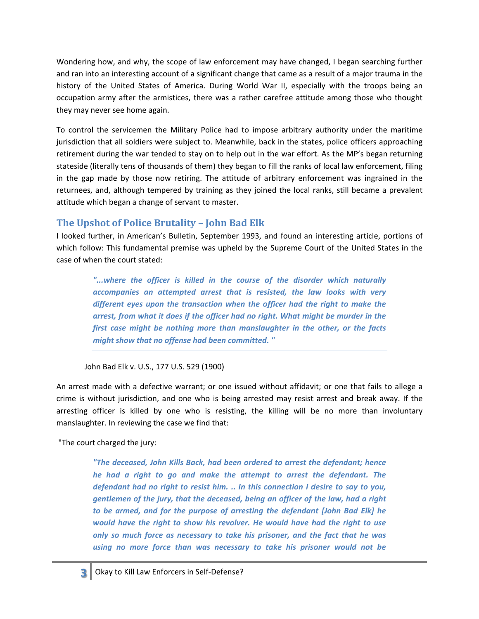Wondering how, and why, the scope of law enforcement may have changed, I began searching further and ran into an interesting account of a significant change that came as a result of a major trauma in the history of the United States of America. During World War II, especially with the troops being an occupation army after the armistices, there was a rather carefree attitude among those who thought they may never see home again.

To control the servicemen the Military Police had to impose arbitrary authority under the maritime jurisdiction that all soldiers were subject to. Meanwhile, back in the states, police officers approaching retirement during the war tended to stay on to help out in the war effort. As the MP's began returning stateside (literally tens of thousands of them) they began to fill the ranks of local law enforcement, filing in the gap made by those now retiring. The attitude of arbitrary enforcement was ingrained in the returnees, and, although tempered by training as they joined the local ranks, still became a prevalent attitude which began a change of servant to master.

#### The Upshot of Police Brutality - John Bad Elk

I looked further, in American's Bulletin, September 1993, and found an interesting article, portions of which follow: This fundamental premise was upheld by the Supreme Court of the United States in the case of when the court stated:

"...where the officer is killed in the course of the disorder which naturally accompanies an attempted arrest that is resisted, the law looks with very different eyes upon the transaction when the officer had the right to make the arrest, from what it does if the officer had no right. What might be murder in the first case might be nothing more than manslaughter in the other, or the facts might show that no offense had been committed. "

John Bad Elk v. U.S., 177 U.S. 529 (1900)

An arrest made with a defective warrant; or one issued without affidavit; or one that fails to allege a crime is without jurisdiction, and one who is being arrested may resist arrest and break away. If the arresting officer is killed by one who is resisting, the killing will be no more than involuntary manslaughter. In reviewing the case we find that:

"The court charged the jury:

"The deceased, John Kills Back, had been ordered to arrest the defendant; hence he had a right to go and make the attempt to arrest the defendant. The defendant had no right to resist him. .. In this connection I desire to say to you, gentlemen of the jury, that the deceased, being an officer of the law, had a right to be armed, and for the purpose of arresting the defendant [John Bad Elk] he would have the right to show his revolver. He would have had the right to use only so much force as necessary to take his prisoner, and the fact that he was using no more force than was necessary to take his prisoner would not be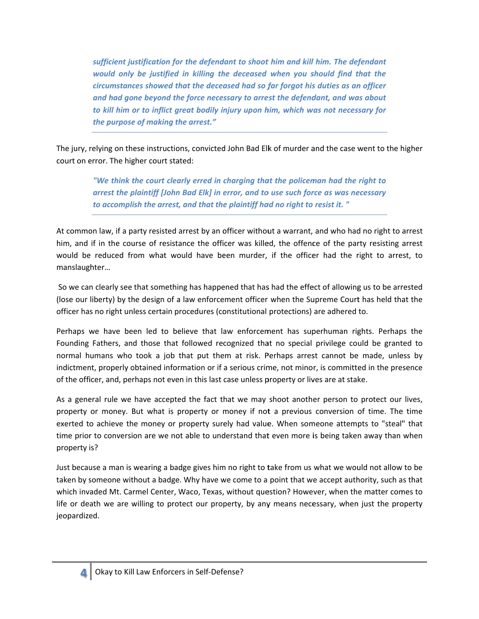sufficient justification for the defendant to shoot him and kill him. The defendant would only be justified in killing the deceased when you should find that the circumstances showed that the deceased had so far forgot his duties as an officer and had gone beyond the force necessary to arrest the defendant, and was about to kill him or to inflict great bodily injury upon him, which was not necessary for the purpose of making the arrest."

The jury, relying on these instructions, convicted John Bad Elk of murder and the case went to the higher court on error. The higher court stated:

> "We think the court clearly erred in charging that the policeman had the right to arrest the plaintiff [John Bad Elk] in error, and to use such force as was necessary to accomplish the arrest, and that the plaintiff had no right to resist it. "

At common law, if a party resisted arrest by an officer without a warrant, and who had no right to arrest him, and if in the course of resistance the officer was killed, the offence of the party resisting arrest would be reduced from what would have been murder, if the officer had the right to arrest, to manslaughter...

So we can clearly see that something has happened that has had the effect of allowing us to be arrested (lose our liberty) by the design of a law enforcement officer when the Supreme Court has held that the officer has no right unless certain procedures (constitutional protections) are adhered to.

Perhaps we have been led to believe that law enforcement has superhuman rights. Perhaps the Founding Fathers, and those that followed recognized that no special privilege could be granted to normal humans who took a job that put them at risk. Perhaps arrest cannot be made, unless by indictment, properly obtained information or if a serious crime, not minor, is committed in the presence of the officer, and, perhaps not even in this last case unless property or lives are at stake.

As a general rule we have accepted the fact that we may shoot another person to protect our lives, property or money. But what is property or money if not a previous conversion of time. The time exerted to achieve the money or property surely had value. When someone attempts to "steal" that time prior to conversion are we not able to understand that even more is being taken away than when property is?

Just because a man is wearing a badge gives him no right to take from us what we would not allow to be taken by someone without a badge. Why have we come to a point that we accept authority, such as that which invaded Mt. Carmel Center, Waco, Texas, without question? However, when the matter comes to life or death we are willing to protect our property, by any means necessary, when just the property jeopardized.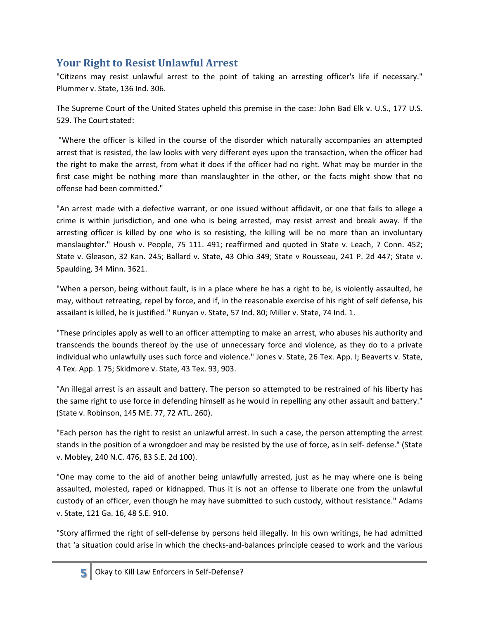# **Your Right to Resist Unlawful Arrest**

"Citizens may resist unlawful arrest to the point of taking an arresting officer's life if necessary." Plummer v. State, 136 Ind. 306.

The Supreme Court of the United States upheld this premise in the case: John Bad Elk v. U.S., 177 U.S. 529. The Court stated:

"Where the officer is killed in the course of the disorder which naturally accompanies an attempted arrest that is resisted, the law looks with very different eyes upon the transaction, when the officer had the right to make the arrest, from what it does if the officer had no right. What may be murder in the first case might be nothing more than manslaughter in the other, or the facts might show that no offense had been committed."

"An arrest made with a defective warrant, or one issued without affidavit, or one that fails to allege a crime is within jurisdiction, and one who is being arrested, may resist arrest and break away. If the arresting officer is killed by one who is so resisting, the killing will be no more than an involuntary manslaughter." Housh v. People, 75 111. 491; reaffirmed and quoted in State v. Leach, 7 Conn. 452; State v. Gleason, 32 Kan. 245; Ballard v. State, 43 Ohio 349; State v Rousseau, 241 P. 2d 447; State v. Spaulding, 34 Minn. 3621.

"When a person, being without fault, is in a place where he has a right to be, is violently assaulted, he may, without retreating, repel by force, and if, in the reasonable exercise of his right of self defense, his assailant is killed, he is justified." Runyan v. State, 57 Ind. 80; Miller v. State, 74 Ind. 1.

"These principles apply as well to an officer attempting to make an arrest, who abuses his authority and transcends the bounds thereof by the use of unnecessary force and violence, as they do to a private individual who unlawfully uses such force and violence." Jones v. State, 26 Tex. App. I; Beaverts v. State, 4 Tex. App. 1 75; Skidmore v. State, 43 Tex. 93, 903.

"An illegal arrest is an assault and battery. The person so attempted to be restrained of his liberty has the same right to use force in defending himself as he would in repelling any other assault and battery." (State v. Robinson, 145 ME. 77, 72 ATL. 260).

"Each person has the right to resist an unlawful arrest. In such a case, the person attempting the arrest stands in the position of a wrongdoer and may be resisted by the use of force, as in self-defense." (State v. Mobley, 240 N.C. 476, 83 S.E. 2d 100).

"One may come to the aid of another being unlawfully arrested, just as he may where one is being assaulted, molested, raped or kidnapped. Thus it is not an offense to liberate one from the unlawful custody of an officer, even though he may have submitted to such custody, without resistance." Adams v. State, 121 Ga. 16, 48 S.E. 910.

"Story affirmed the right of self-defense by persons held illegally. In his own writings, he had admitted that 'a situation could arise in which the checks-and-balances principle ceased to work and the various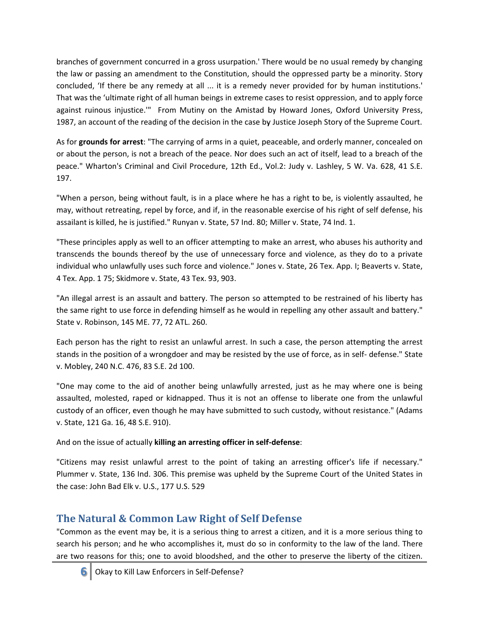branches of government concurred in a gross usurpation.' There would be no usual remedy by changing the law or passing an amendment to the Constitution, should the oppressed party be a minority. Story concluded, 'If there be any remedy at all ... it is a remedy never provided for by human institutions.' That was the 'ultimate right of all human beings in extreme cases to resist oppression, and to apply force against ruinous injustice." From Mutiny on the Amistad by Howard Jones, Oxford University Press, 1987, an account of the reading of the decision in the case by Justice Joseph Story of the Supreme Court.

As for grounds for arrest: "The carrying of arms in a quiet, peaceable, and orderly manner, concealed on or about the person, is not a breach of the peace. Nor does such an act of itself, lead to a breach of the peace." Wharton's Criminal and Civil Procedure, 12th Ed., Vol.2: Judy v. Lashley, 5 W. Va. 628, 41 S.E. 197.

"When a person, being without fault, is in a place where he has a right to be, is violently assaulted, he may, without retreating, repel by force, and if, in the reasonable exercise of his right of self defense, his assailant is killed, he is justified." Runyan v. State, 57 Ind. 80; Miller v. State, 74 Ind. 1.

"These principles apply as well to an officer attempting to make an arrest, who abuses his authority and transcends the bounds thereof by the use of unnecessary force and violence, as they do to a private individual who unlawfully uses such force and violence." Jones v. State, 26 Tex. App. I; Beaverts v. State, 4 Tex. App. 1 75; Skidmore v. State, 43 Tex. 93, 903.

"An illegal arrest is an assault and battery. The person so attempted to be restrained of his liberty has the same right to use force in defending himself as he would in repelling any other assault and battery." State v. Robinson, 145 ME. 77, 72 ATL. 260.

Each person has the right to resist an unlawful arrest. In such a case, the person attempting the arrest stands in the position of a wrongdoer and may be resisted by the use of force, as in self-defense." State v. Mobley, 240 N.C. 476, 83 S.E. 2d 100.

"One may come to the aid of another being unlawfully arrested, just as he may where one is being assaulted, molested, raped or kidnapped. Thus it is not an offense to liberate one from the unlawful custody of an officer, even though he may have submitted to such custody, without resistance." (Adams v. State, 121 Ga. 16, 48 S.E. 910).

And on the issue of actually killing an arresting officer in self-defense:

"Citizens may resist unlawful arrest to the point of taking an arresting officer's life if necessary." Plummer v. State, 136 Ind. 306. This premise was upheld by the Supreme Court of the United States in the case: John Bad Elk v. U.S., 177 U.S. 529

# The Natural & Common Law Right of Self Defense

"Common as the event may be, it is a serious thing to arrest a citizen, and it is a more serious thing to search his person; and he who accomplishes it, must do so in conformity to the law of the land. There are two reasons for this; one to avoid bloodshed, and the other to preserve the liberty of the citizen.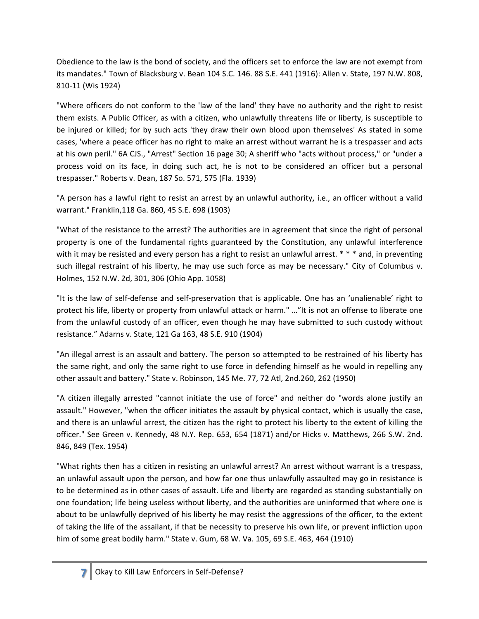Obedience to the law is the bond of society, and the officers set to enforce the law are not exempt from its mandates." Town of Blacksburg v. Bean 104 S.C. 146. 88 S.E. 441 (1916): Allen v. State, 197 N.W. 808, 810-11 (Wis 1924)

"Where officers do not conform to the 'law of the land' they have no authority and the right to resist them exists. A Public Officer, as with a citizen, who unlawfully threatens life or liberty, is susceptible to be injured or killed; for by such acts 'they draw their own blood upon themselves' As stated in some cases, 'where a peace officer has no right to make an arrest without warrant he is a trespasser and acts at his own peril." 6A CJS., "Arrest" Section 16 page 30; A sheriff who "acts without process," or "under a process void on its face, in doing such act, he is not to be considered an officer but a personal trespasser." Roberts v. Dean, 187 So. 571, 575 (Fla. 1939)

"A person has a lawful right to resist an arrest by an unlawful authority, i.e., an officer without a valid warrant." Franklin, 118 Ga. 860, 45 S.E. 698 (1903)

"What of the resistance to the arrest? The authorities are in agreement that since the right of personal property is one of the fundamental rights guaranteed by the Constitution, any unlawful interference with it may be resisted and every person has a right to resist an unlawful arrest.  $* * *$  and, in preventing such illegal restraint of his liberty, he may use such force as may be necessary." City of Columbus v. Holmes, 152 N.W. 2d, 301, 306 (Ohio App. 1058)

"It is the law of self-defense and self-preservation that is applicable. One has an 'unalienable' right to protect his life, liberty or property from unlawful attack or harm." ..."It is not an offense to liberate one from the unlawful custody of an officer, even though he may have submitted to such custody without resistance." Adarns v. State, 121 Ga 163, 48 S.E. 910 (1904)

"An illegal arrest is an assault and battery. The person so attempted to be restrained of his liberty has the same right, and only the same right to use force in defending himself as he would in repelling any other assault and battery." State v. Robinson, 145 Me. 77, 72 Atl, 2nd.260, 262 (1950)

"A citizen illegally arrested "cannot initiate the use of force" and neither do "words alone justify an assault." However, "when the officer initiates the assault by physical contact, which is usually the case, and there is an unlawful arrest, the citizen has the right to protect his liberty to the extent of killing the officer." See Green v. Kennedy, 48 N.Y. Rep. 653, 654 (1871) and/or Hicks v. Matthews, 266 S.W. 2nd. 846, 849 (Tex. 1954)

"What rights then has a citizen in resisting an unlawful arrest? An arrest without warrant is a trespass, an unlawful assault upon the person, and how far one thus unlawfully assaulted may go in resistance is to be determined as in other cases of assault. Life and liberty are regarded as standing substantially on one foundation; life being useless without liberty, and the authorities are uninformed that where one is about to be unlawfully deprived of his liberty he may resist the aggressions of the officer, to the extent of taking the life of the assailant, if that be necessity to preserve his own life, or prevent infliction upon him of some great bodily harm." State v. Gum, 68 W. Va. 105, 69 S.E. 463, 464 (1910)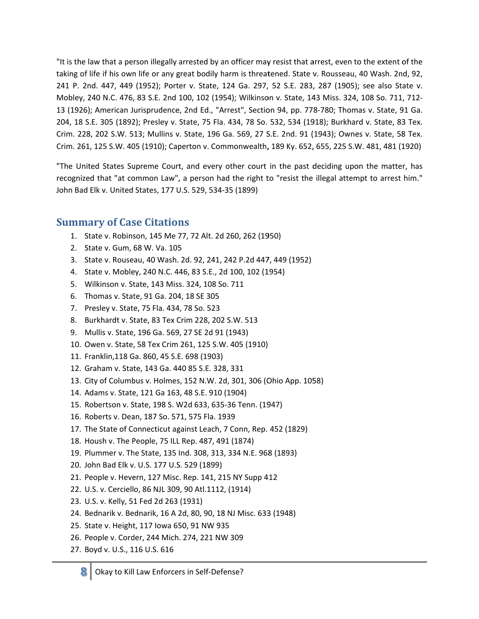"It is the law that a person illegally arrested by an officer may resist that arrest, even to the extent of the taking of life if his own life or any great bodily harm is threatened. State v. Rousseau, 40 Wash. 2nd, 92, 241 P. 2nd. 447, 449 (1952); Porter v. State, 124 Ga. 297, 52 S.E. 283, 287 (1905); see also State v. Mobley, 240 N.C. 476, 83 S.E. 2nd 100, 102 (1954); Wilkinson v. State, 143 Miss. 324, 108 So. 711, 712-13 (1926); American Jurisprudence, 2nd Ed., "Arrest", Section 94, pp. 778-780; Thomas v. State, 91 Ga. 204, 18 S.E. 305 (1892); Presley v. State, 75 Fla. 434, 78 So. 532, 534 (1918); Burkhard v. State, 83 Tex. Crim. 228, 202 S.W. 513; Mullins v. State, 196 Ga. 569, 27 S.E. 2nd. 91 (1943); Ownes v. State, 58 Tex. Crim. 261, 125 S.W. 405 (1910); Caperton v. Commonwealth, 189 Ky. 652, 655, 225 S.W. 481, 481 (1920)

"The United States Supreme Court, and every other court in the past deciding upon the matter, has recognized that "at common Law", a person had the right to "resist the illegal attempt to arrest him." John Bad Elk v. United States, 177 U.S. 529, 534-35 (1899)

#### **Summary of Case Citations**

- 1. State v. Robinson, 145 Me 77, 72 Alt. 2d 260, 262 (1950)
- 2. State v. Gum, 68 W. Va. 105
- 3. State v. Rouseau, 40 Wash. 2d. 92, 241, 242 P.2d 447, 449 (1952)
- 4. State v. Mobley, 240 N.C. 446, 83 S.E., 2d 100, 102 (1954)
- 5. Wilkinson v. State, 143 Miss. 324, 108 So. 711
- 6. Thomas v. State, 91 Ga. 204, 18 SE 305
- 7. Presley v. State, 75 Fla. 434, 78 So. 523
- 8. Burkhardt v. State, 83 Tex Crim 228, 202 S.W. 513
- 9. Mullis v. State, 196 Ga. 569, 27 SE 2d 91 (1943)
- 10. Owen v. State, 58 Tex Crim 261, 125 S.W. 405 (1910)
- 11. Franklin, 118 Ga. 860, 45 S.E. 698 (1903)
- 12. Graham v. State, 143 Ga. 440 85 S.E. 328, 331
- 13. City of Columbus v. Holmes, 152 N.W. 2d, 301, 306 (Ohio App. 1058)
- 14. Adams v. State, 121 Ga 163, 48 S.E. 910 (1904)
- 15. Robertson v. State, 198 S. W2d 633, 635-36 Tenn. (1947)
- 16. Roberts v. Dean, 187 So. 571, 575 Fla. 1939
- 17. The State of Connecticut against Leach, 7 Conn, Rep. 452 (1829)
- 18. Housh v. The People, 75 ILL Rep. 487, 491 (1874)
- 19. Plummer v. The State, 135 Ind. 308, 313, 334 N.E. 968 (1893)
- 20. John Bad Elk v. U.S. 177 U.S. 529 (1899)
- 21. People v. Hevern, 127 Misc. Rep. 141, 215 NY Supp 412
- 22. U.S. v. Cerciello, 86 NJL 309, 90 Atl.1112, (1914)
- 23. U.S. v. Kelly, 51 Fed 2d 263 (1931)
- 24. Bednarik v. Bednarik, 16 A 2d, 80, 90, 18 NJ Misc. 633 (1948)
- 25. State v. Height, 117 Iowa 650, 91 NW 935
- 26. People v. Corder, 244 Mich. 274, 221 NW 309
- 27. Boyd v. U.S., 116 U.S. 616